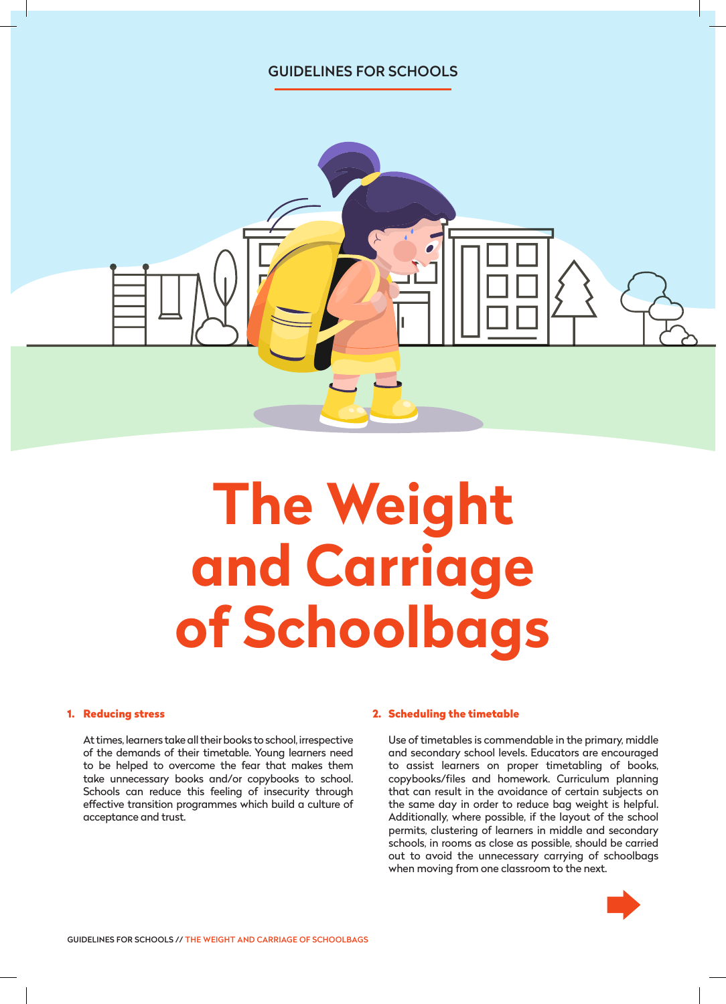# GUIDELINES FOR SCHOOLS



# **The Weight and Carriage of Schoolbags**

#### 1. Reducing stress

At times, learners take all their books to school, irrespective of the demands of their timetable. Young learners need to be helped to overcome the fear that makes them take unnecessary books and/or copybooks to school. Schools can reduce this feeling of insecurity through effective transition programmes which build a culture of acceptance and trust.

#### 2. Scheduling the timetable

Use of timetables is commendable in the primary, middle and secondary school levels. Educators are encouraged to assist learners on proper timetabling of books, copybooks/files and homework. Curriculum planning that can result in the avoidance of certain subjects on the same day in order to reduce bag weight is helpful. Additionally, where possible, if the layout of the school permits, clustering of learners in middle and secondary schools, in rooms as close as possible, should be carried out to avoid the unnecessary carrying of schoolbags when moving from one classroom to the next.